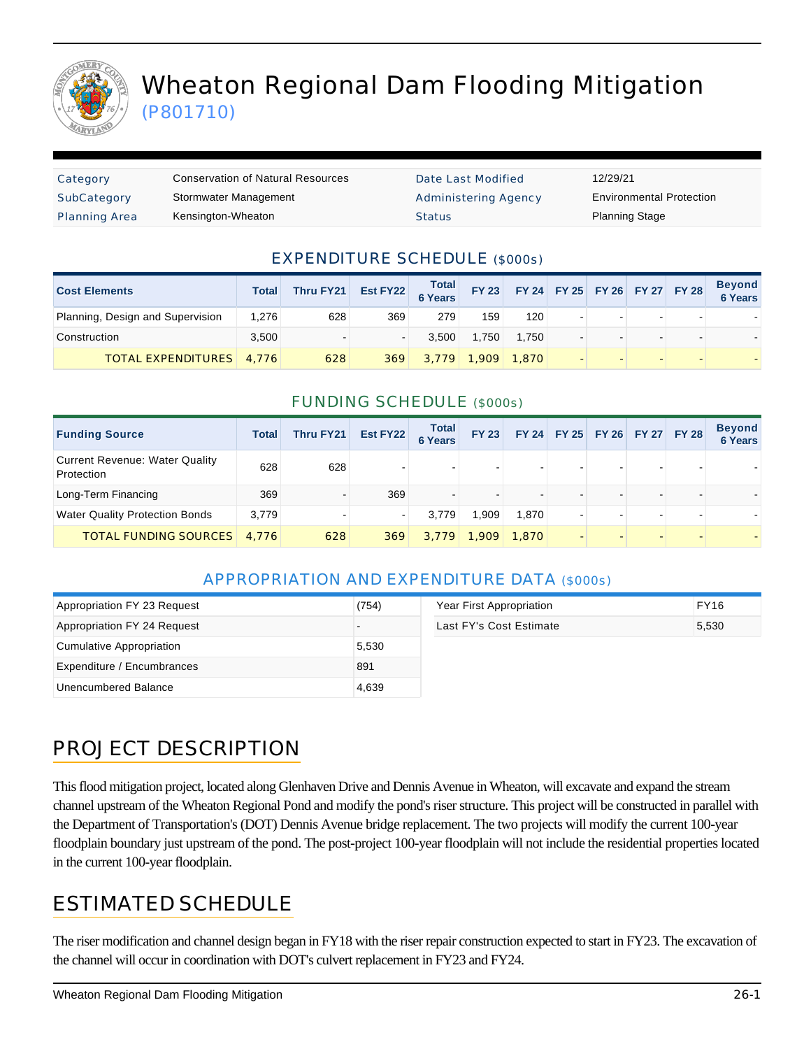

# Wheaton Regional Dam Flooding Mitigation (P801710)

| Category      | <b>Conservation of Natural Resources</b> | Date Last Modified          | 12/29/21                        |
|---------------|------------------------------------------|-----------------------------|---------------------------------|
| SubCategory   | Stormwater Management                    | <b>Administering Agency</b> | <b>Environmental Protection</b> |
| Planning Area | Kensington-Wheaton                       | <b>Status</b>               | <b>Planning Stage</b>           |

#### EXPENDITURE SCHEDULE (\$000s)

| <b>Cost Elements</b>             | Total | Thru FY21 | Est FY22 | <b>Total</b><br>6 Years | <b>FY 23</b> |       |  | FY 24 FY 25 FY 26 FY 27 FY 28 | <b>Beyond</b><br>6 Years |
|----------------------------------|-------|-----------|----------|-------------------------|--------------|-------|--|-------------------------------|--------------------------|
| Planning, Design and Supervision | 1.276 | 628       | 369      | 279                     | 159          | 120   |  |                               |                          |
| Construction                     | 3.500 |           |          | 3.500                   | 1.750        | 1.750 |  |                               |                          |
| <b>TOTAL EXPENDITURES</b> 4,776  |       | 628       | 369      | 3.779                   | 1.909        | 1.870 |  |                               |                          |

#### FUNDING SCHEDULE (\$000s)

| <b>Funding Source</b>                               | Total | Thru FY21 | Est FY22 | <b>Total</b><br><b>6 Years</b> | <b>FY 23</b> |                          | FY 24 FY 25 FY 26 FY 27 FY 28 |   | <b>Beyond</b><br><b>6 Years</b> |
|-----------------------------------------------------|-------|-----------|----------|--------------------------------|--------------|--------------------------|-------------------------------|---|---------------------------------|
| <b>Current Revenue: Water Quality</b><br>Protection | 628   | 628       |          |                                |              | $\blacksquare$           |                               | - |                                 |
| Long-Term Financing                                 | 369   |           | 369      |                                |              | $\overline{\phantom{0}}$ |                               |   |                                 |
| <b>Water Quality Protection Bonds</b>               | 3.779 |           | $\sim$   | 3.779                          | P.909.       | 1.870                    |                               |   |                                 |
| <b>TOTAL FUNDING SOURCES</b>                        | 4.776 | 628       | 369      | 3.779                          | 1.909        | 1.870                    |                               |   |                                 |

### APPROPRIATION AND EXPENDITURE DATA (\$000s)

| Appropriation FY 23 Request | (754) | Year First Appropriation | <b>FY16</b> |
|-----------------------------|-------|--------------------------|-------------|
| Appropriation FY 24 Request |       | Last FY's Cost Estimate  | 5,530       |
| Cumulative Appropriation    | 5,530 |                          |             |
| Expenditure / Encumbrances  | 891   |                          |             |
| Unencumbered Balance        | 4,639 |                          |             |

# PROJECT DESCRIPTION

This flood mitigation project, located along Glenhaven Drive and Dennis Avenue in Wheaton, will excavate and expand the stream channel upstream of the Wheaton Regional Pond and modify the pond's riser structure. This project will be constructed in parallel with the Department of Transportation's (DOT) Dennis Avenue bridge replacement. The two projects will modify the current 100-year floodplain boundary just upstream of the pond. The post-project 100-year floodplain will not include the residential properties located in the current 100-year floodplain.

### ESTIMATED SCHEDULE

The riser modification and channel design began in FY18 with the riser repair construction expected to start in FY23. The excavation of the channel will occur in coordination with DOT's culvert replacement in FY23 and FY24.